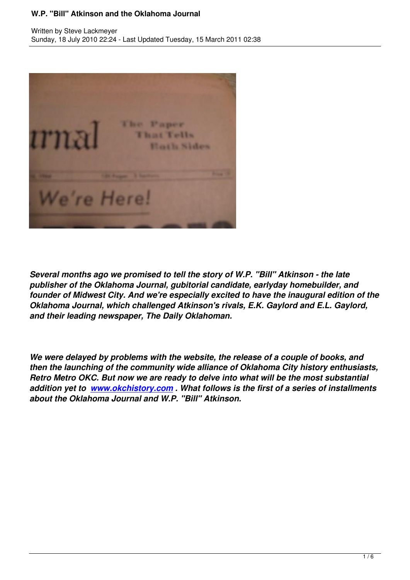

*Several months ago we promised to tell the story of W.P. "Bill" Atkinson - the late publisher of the Oklahoma Journal, gubitorial candidate, earlyday homebuilder, and founder of Midwest City. And we're especially excited to have the inaugural edition of the Oklahoma Journal, which challenged Atkinson's rivals, E.K. Gaylord and E.L. Gaylord, and their leading newspaper, The Daily Oklahoman.*

*We were delayed by problems with the website, the release of a couple of books, and then the launching of the community wide alliance of Oklahoma City history enthusiasts, Retro Metro OKC. But now we are ready to delve into what will be the most substantial addition yet to www.okchistory.com . What follows is the first of a series of installments about the Oklahoma Journal and W.P. "Bill" Atkinson.*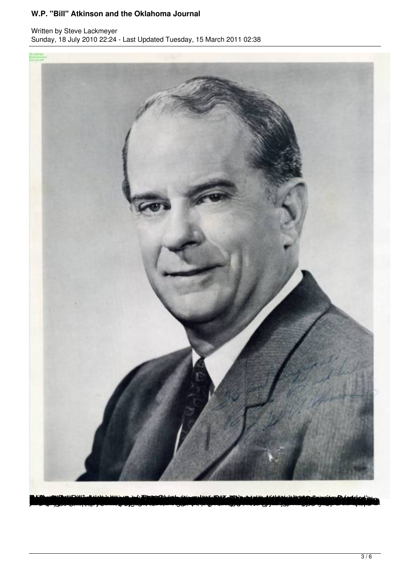Written by Steve Lackmeyer Sunday, 18 July 2010 22:24 - Last Updated Tuesday, 15 March 2011 02:38

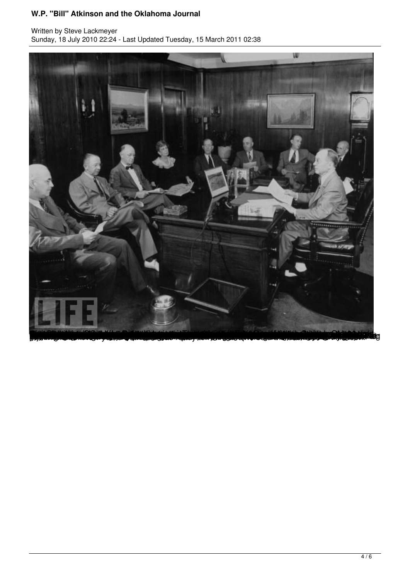Written by Steve Lackmeyer Sunday, 18 July 2010 22:24 - Last Updated Tuesday, 15 March 2011 02:38

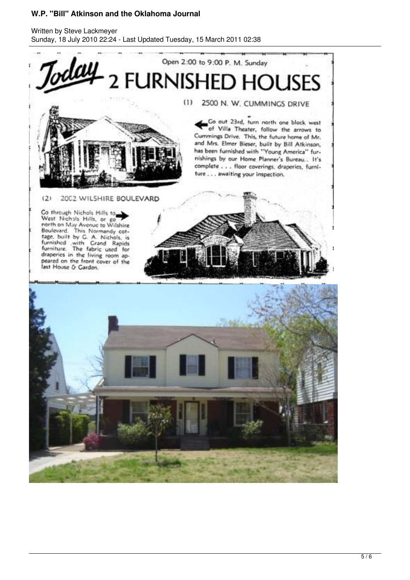Written by Steve Lackmeyer Sunday, 18 July 2010 22:24 - Last Updated Tuesday, 15 March 2011 02:38